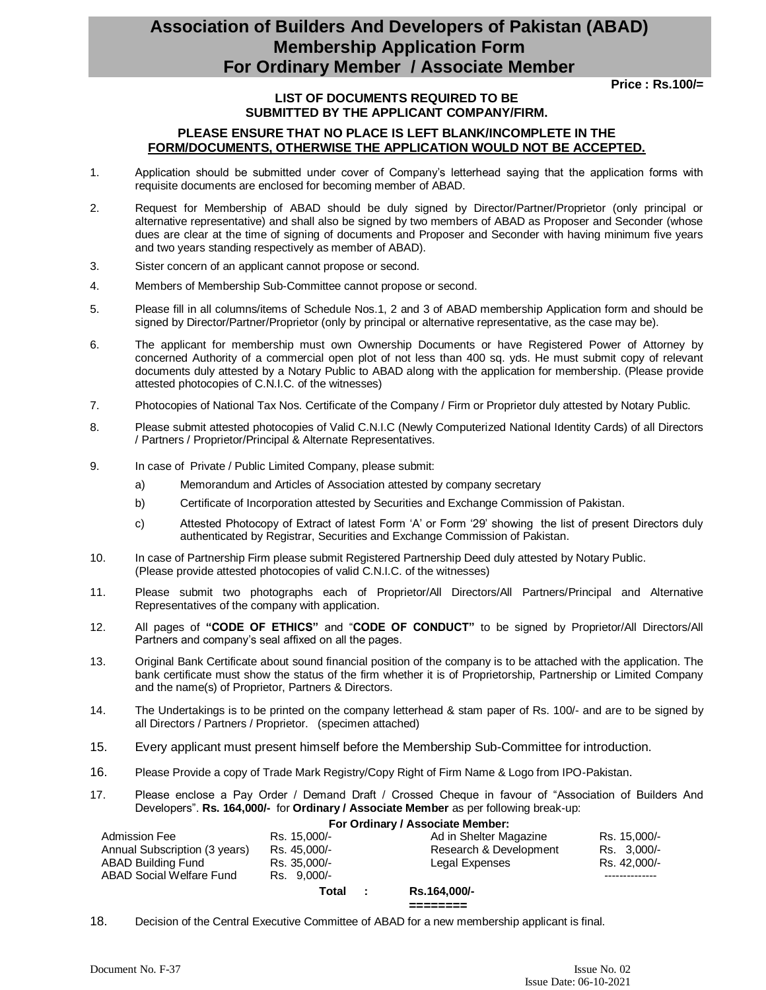## **Association of Builders And Developers of Pakistan (ABAD) Membership Application Form For Ordinary Member / Associate Member**

 **Price : Rs.100/=**

#### **LIST OF DOCUMENTS REQUIRED TO BE SUBMITTED BY THE APPLICANT COMPANY/FIRM.**

#### **PLEASE ENSURE THAT NO PLACE IS LEFT BLANK/INCOMPLETE IN THE FORM/DOCUMENTS, OTHERWISE THE APPLICATION WOULD NOT BE ACCEPTED.**

- 1. Application should be submitted under cover of Company's letterhead saying that the application forms with requisite documents are enclosed for becoming member of ABAD.
- 2. Request for Membership of ABAD should be duly signed by Director/Partner/Proprietor (only principal or alternative representative) and shall also be signed by two members of ABAD as Proposer and Seconder (whose dues are clear at the time of signing of documents and Proposer and Seconder with having minimum five years and two years standing respectively as member of ABAD).
- 3. Sister concern of an applicant cannot propose or second.
- 4. Members of Membership Sub-Committee cannot propose or second.
- 5. Please fill in all columns/items of Schedule Nos.1, 2 and 3 of ABAD membership Application form and should be signed by Director/Partner/Proprietor (only by principal or alternative representative, as the case may be).
- 6. The applicant for membership must own Ownership Documents or have Registered Power of Attorney by concerned Authority of a commercial open plot of not less than 400 sq. yds. He must submit copy of relevant documents duly attested by a Notary Public to ABAD along with the application for membership. (Please provide attested photocopies of C.N.I.C. of the witnesses)
- 7. Photocopies of National Tax Nos. Certificate of the Company / Firm or Proprietor duly attested by Notary Public.
- 8. Please submit attested photocopies of Valid C.N.I.C (Newly Computerized National Identity Cards) of all Directors / Partners / Proprietor/Principal & Alternate Representatives.
- 9. In case of Private / Public Limited Company, please submit:
	- a) Memorandum and Articles of Association attested by company secretary
	- b) Certificate of Incorporation attested by Securities and Exchange Commission of Pakistan.
	- c) Attested Photocopy of Extract of latest Form 'A' or Form '29' showing the list of present Directors duly authenticated by Registrar, Securities and Exchange Commission of Pakistan.
- 10. In case of Partnership Firm please submit Registered Partnership Deed duly attested by Notary Public. (Please provide attested photocopies of valid C.N.I.C. of the witnesses)
- 11. Please submit two photographs each of Proprietor/All Directors/All Partners/Principal and Alternative Representatives of the company with application.
- 12. All pages of **"CODE OF ETHICS"** and "**CODE OF CONDUCT"** to be signed by Proprietor/All Directors/All Partners and company's seal affixed on all the pages.
- 13. Original Bank Certificate about sound financial position of the company is to be attached with the application. The bank certificate must show the status of the firm whether it is of Proprietorship, Partnership or Limited Company and the name(s) of Proprietor, Partners & Directors.
- 14. The Undertakings is to be printed on the company letterhead & stam paper of Rs. 100/- and are to be signed by all Directors / Partners / Proprietor. (specimen attached)
- 15. Every applicant must present himself before the Membership Sub-Committee for introduction.
- 16. Please Provide a copy of Trade Mark Registry/Copy Right of Firm Name & Logo from IPO-Pakistan.
- 17. Please enclose a Pay Order / Demand Draft / Crossed Cheque in favour of "Association of Builders And Developers". **Rs. 164,000/-** for **Ordinary / Associate Member** as per following break-up:

#### **For Ordinary / Associate Member:**

| <b>Admission Fee</b>          | Rs. 15.000/- | Ad in Shelter Magazine | Rs. 15.000/- |
|-------------------------------|--------------|------------------------|--------------|
| Annual Subscription (3 years) | Rs. 45.000/- | Research & Development | Rs. 3.000/-  |
| ABAD Building Fund            | Rs. 35,000/- | Legal Expenses         | Rs. 42.000/- |
| ABAD Social Welfare Fund      | Rs. 9.000/-  |                        |              |
|                               | Total        | Rs.164,000/-           |              |

**========** 

18. Decision of the Central Executive Committee of ABAD for a new membership applicant is final.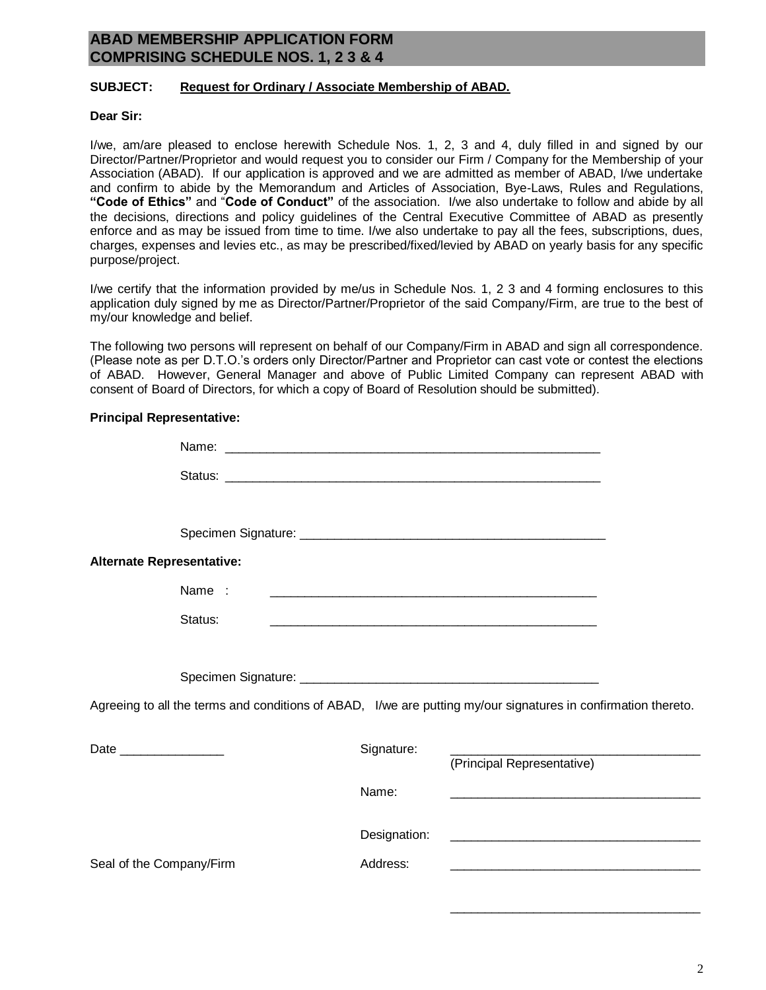### **ABAD MEMBERSHIP APPLICATION FORM COMPRISING SCHEDULE NOS. 1, 2 3 & 4**

#### **SUBJECT: Request for Ordinary / Associate Membership of ABAD.**

#### **Dear Sir:**

I/we, am/are pleased to enclose herewith Schedule Nos. 1, 2, 3 and 4, duly filled in and signed by our Director/Partner/Proprietor and would request you to consider our Firm / Company for the Membership of your Association (ABAD). If our application is approved and we are admitted as member of ABAD, I/we undertake and confirm to abide by the Memorandum and Articles of Association, Bye-Laws, Rules and Regulations, **"Code of Ethics"** and "**Code of Conduct"** of the association. I/we also undertake to follow and abide by all the decisions, directions and policy guidelines of the Central Executive Committee of ABAD as presently enforce and as may be issued from time to time. I/we also undertake to pay all the fees, subscriptions, dues, charges, expenses and levies etc., as may be prescribed/fixed/levied by ABAD on yearly basis for any specific purpose/project.

I/we certify that the information provided by me/us in Schedule Nos. 1, 2 3 and 4 forming enclosures to this application duly signed by me as Director/Partner/Proprietor of the said Company/Firm, are true to the best of my/our knowledge and belief.

The following two persons will represent on behalf of our Company/Firm in ABAD and sign all correspondence. (Please note as per D.T.O.'s orders only Director/Partner and Proprietor can cast vote or contest the elections of ABAD. However, General Manager and above of Public Limited Company can represent ABAD with consent of Board of Directors, for which a copy of Board of Resolution should be submitted).

#### **Principal Representative:**

| Alternate Representative: |         |              |                                                                                                                       |  |
|---------------------------|---------|--------------|-----------------------------------------------------------------------------------------------------------------------|--|
|                           | Name :  |              |                                                                                                                       |  |
|                           | Status: |              |                                                                                                                       |  |
|                           |         |              |                                                                                                                       |  |
|                           |         |              | Agreeing to all the terms and conditions of ABAD, I/we are putting my/our signatures in confirmation thereto.         |  |
| Date _________________    |         | Signature:   | (Principal Representative)                                                                                            |  |
|                           |         | Name:        |                                                                                                                       |  |
|                           |         | Designation: | <u> 2000 - Jan Barbara, manazar a shekara tshirin a shekara tshirin a shekara tshirin a shekara tshirin a shekara</u> |  |
| Seal of the Company/Firm  |         | Address:     | <u> 1980 - Jan Barbara, martin da shekara tsa 1980 - An tsa 1980 - An tsa 1980 - An tsa 1980 - An tsa 1980 - An t</u> |  |

\_\_\_\_\_\_\_\_\_\_\_\_\_\_\_\_\_\_\_\_\_\_\_\_\_\_\_\_\_\_\_\_\_\_\_\_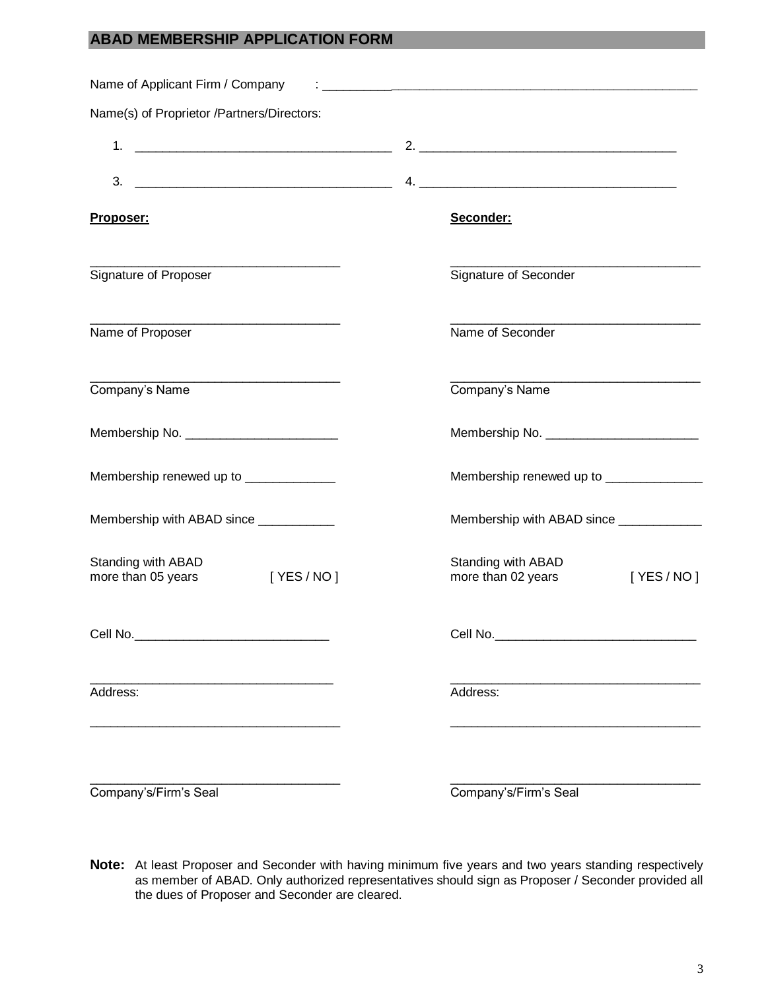### **ABAD MEMBERSHIP APPLICATION FORM**

| Name(s) of Proprietor /Partners/Directors:<br>1.<br><u> 1980 - Johann John Stein, fransk politik (</u><br>2. $\overline{\phantom{a}}$<br>3.<br>Seconder:<br>Proposer:<br>Signature of Proposer<br>Signature of Seconder<br>Name of Proposer<br>Name of Seconder<br><u> 1989 - Johann Barbara, martin da basar a shekara tsa 1989 - An tsa 1989 - An tsa 1989 - An tsa 1989 - An tsa</u><br>Company's Name<br>Company's Name<br>Membership renewed up to ________________<br>Membership with ABAD since ____________<br>Standing with ABAD<br>Standing with ABAD<br>[ YES / NO ]<br>more than 05 years<br>more than 02 years | Name of Applicant Firm / Company |                                          |
|-----------------------------------------------------------------------------------------------------------------------------------------------------------------------------------------------------------------------------------------------------------------------------------------------------------------------------------------------------------------------------------------------------------------------------------------------------------------------------------------------------------------------------------------------------------------------------------------------------------------------------|----------------------------------|------------------------------------------|
|                                                                                                                                                                                                                                                                                                                                                                                                                                                                                                                                                                                                                             |                                  |                                          |
|                                                                                                                                                                                                                                                                                                                                                                                                                                                                                                                                                                                                                             |                                  |                                          |
|                                                                                                                                                                                                                                                                                                                                                                                                                                                                                                                                                                                                                             |                                  |                                          |
|                                                                                                                                                                                                                                                                                                                                                                                                                                                                                                                                                                                                                             |                                  |                                          |
|                                                                                                                                                                                                                                                                                                                                                                                                                                                                                                                                                                                                                             |                                  |                                          |
|                                                                                                                                                                                                                                                                                                                                                                                                                                                                                                                                                                                                                             |                                  |                                          |
|                                                                                                                                                                                                                                                                                                                                                                                                                                                                                                                                                                                                                             |                                  |                                          |
|                                                                                                                                                                                                                                                                                                                                                                                                                                                                                                                                                                                                                             |                                  |                                          |
|                                                                                                                                                                                                                                                                                                                                                                                                                                                                                                                                                                                                                             |                                  | Membership renewed up to _______________ |
|                                                                                                                                                                                                                                                                                                                                                                                                                                                                                                                                                                                                                             |                                  | Membership with ABAD since _____________ |
|                                                                                                                                                                                                                                                                                                                                                                                                                                                                                                                                                                                                                             |                                  | [ YES / NO ]                             |
|                                                                                                                                                                                                                                                                                                                                                                                                                                                                                                                                                                                                                             |                                  |                                          |
|                                                                                                                                                                                                                                                                                                                                                                                                                                                                                                                                                                                                                             | Address:                         | Address:                                 |
| Company's/Firm's Seal<br>Company's/Firm's Seal                                                                                                                                                                                                                                                                                                                                                                                                                                                                                                                                                                              |                                  |                                          |

**Note:** At least Proposer and Seconder with having minimum five years and two years standing respectively as member of ABAD. Only authorized representatives should sign as Proposer / Seconder provided all the dues of Proposer and Seconder are cleared.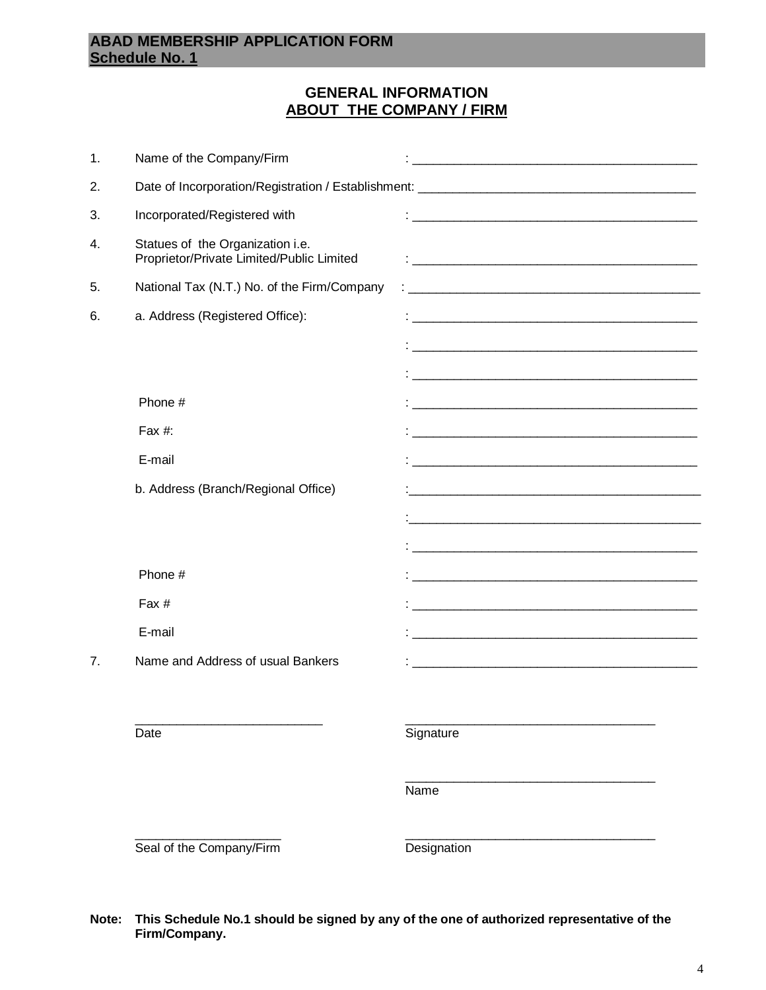## **ABAD MEMBERSHIP APPLICATION FORM Schedule No. 1**

## **GENERAL INFORMATION ABOUT THE COMPANY / FIRM**

|               | Seal of the Company/Firm                                                      | Designation                                                                                                            |
|---------------|-------------------------------------------------------------------------------|------------------------------------------------------------------------------------------------------------------------|
|               |                                                                               | Name                                                                                                                   |
|               | Date                                                                          | Signature                                                                                                              |
|               |                                                                               |                                                                                                                        |
| 7.            | E-mail<br>Name and Address of usual Bankers                                   | <u> 1980 - Jan James James Barnett, amerikan besteck av den større og av den større og av den som forskelle og a</u>   |
|               | Fax #                                                                         |                                                                                                                        |
|               | Phone #                                                                       | <u> 1989 - Johann Barn, mars eta bat erroman erroman erroman erroman ez erroman ez erroman ez erroman ez ez ez e</u>   |
|               |                                                                               | <u> 1989 - Johann John Stein, markin fan it ferskearre fan it ferskearre fan it ferskearre fan it ferskearre fan i</u> |
|               | b. Address (Branch/Regional Office)                                           | <u> 1980 - Jan James James, martin amerikan basar dan berasal dari pertama dan berasal dari pertama dan berasal d</u>  |
|               | E-mail                                                                        |                                                                                                                        |
|               | Fax #:                                                                        | <u> 1989 - Jan Berlin, margaret alderdizion eta biztanleria (h. 1982).</u>                                             |
|               |                                                                               | <u> 1989 - Jan James James James James James James James James James James James James James James James James J</u>   |
|               | Phone #                                                                       | <u> 1980 - Johann John Stone, mars an deus Amerikaansk kommunister (* 1950)</u>                                        |
|               |                                                                               | <u> 1989 - Jan Samuel Barbara, margaret eta biztanleria (h. 1989).</u>                                                 |
| 6.            | a. Address (Registered Office):                                               |                                                                                                                        |
| 5.            | National Tax (N.T.) No. of the Firm/Company                                   |                                                                                                                        |
| 4.            | Statues of the Organization i.e.<br>Proprietor/Private Limited/Public Limited |                                                                                                                        |
| 3.            | Incorporated/Registered with                                                  |                                                                                                                        |
| 2.            |                                                                               |                                                                                                                        |
| $\mathbf 1$ . | Name of the Company/Firm                                                      |                                                                                                                        |

#### **Note: This Schedule No.1 should be signed by any of the one of authorized representative of the Firm/Company.**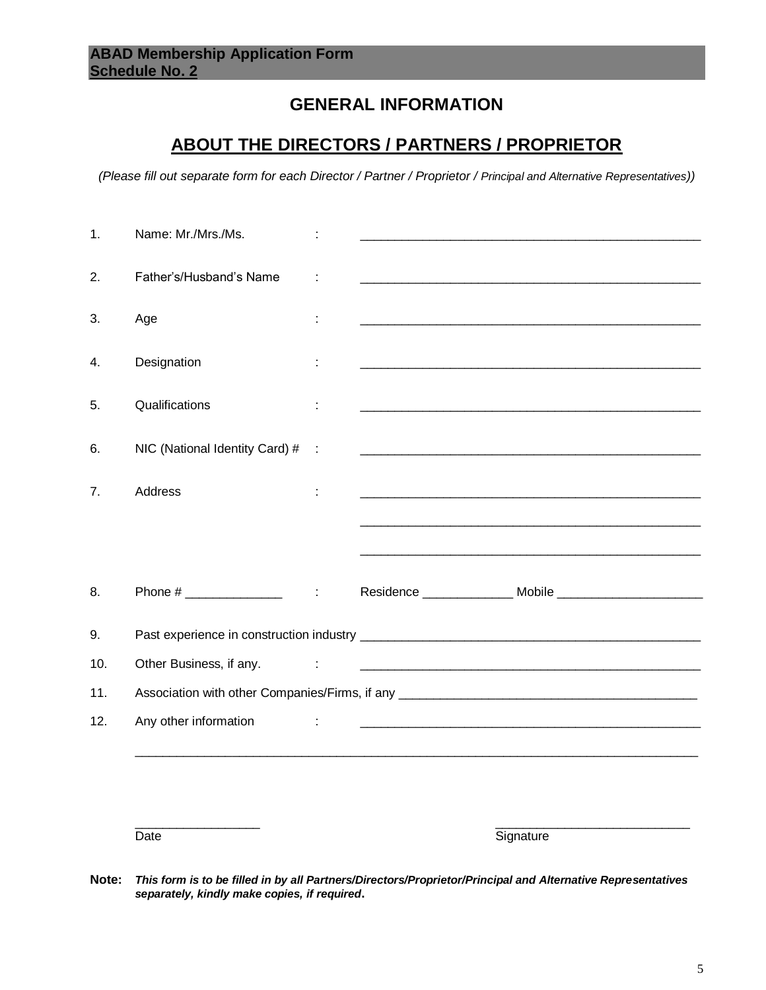## **GENERAL INFORMATION**

## **ABOUT THE DIRECTORS / PARTNERS / PROPRIETOR**

*(Please fill out separate form for each Director / Partner / Proprietor / Principal and Alternative Representatives))*

| 1.  | Name: Mr./Mrs./Ms.                                                                                                                                                                                                                                                                                                    |   |                                                                                                                        |  |
|-----|-----------------------------------------------------------------------------------------------------------------------------------------------------------------------------------------------------------------------------------------------------------------------------------------------------------------------|---|------------------------------------------------------------------------------------------------------------------------|--|
| 2.  | Father's/Husband's Name                                                                                                                                                                                                                                                                                               |   | <u> 1980 - Johann Barn, mars ann an t-Amhain ann an t-Amhain an t-Amhain an t-Amhain an t-Amhain an t-Amhain an t-</u> |  |
| 3.  | Age                                                                                                                                                                                                                                                                                                                   |   | <u> 2000 - Jan James James James James James James James James James James James James James James James James J</u>   |  |
| 4.  | Designation                                                                                                                                                                                                                                                                                                           |   | <u> 2000 - Jan James James James James James James James James James James James James James James James James Ja</u>  |  |
| 5.  | Qualifications                                                                                                                                                                                                                                                                                                        |   | <u> 1989 - Johann Harry Harry Harry Harry Harry Harry Harry Harry Harry Harry Harry Harry Harry Harry Harry Harry</u>  |  |
| 6.  | NIC (National Identity Card) # :                                                                                                                                                                                                                                                                                      |   | <u> 1990 - Johann Barn, mars ann an Catharine ann an t-Alban ann an t-Alban ann an t-Alban ann an t-Alban ann an </u>  |  |
| 7.  | Address                                                                                                                                                                                                                                                                                                               |   | <u> 2000 - Jan James James James James James James James James James James James James James James James James J</u>   |  |
|     |                                                                                                                                                                                                                                                                                                                       |   |                                                                                                                        |  |
|     |                                                                                                                                                                                                                                                                                                                       |   |                                                                                                                        |  |
| 8.  | Phone # $\frac{1}{2}$ $\frac{1}{2}$ $\frac{1}{2}$ $\frac{1}{2}$ $\frac{1}{2}$ $\frac{1}{2}$ $\frac{1}{2}$ $\frac{1}{2}$ $\frac{1}{2}$ $\frac{1}{2}$ $\frac{1}{2}$ $\frac{1}{2}$ $\frac{1}{2}$ $\frac{1}{2}$ $\frac{1}{2}$ $\frac{1}{2}$ $\frac{1}{2}$ $\frac{1}{2}$ $\frac{1}{2}$ $\frac{1}{2}$ $\frac{1}{2}$ $\frac$ |   |                                                                                                                        |  |
| 9.  |                                                                                                                                                                                                                                                                                                                       |   |                                                                                                                        |  |
| 10. | Other Business, if any.                                                                                                                                                                                                                                                                                               | ÷ | <u> 1980 - Johann John Stein, mars and de British and de British and de British and de British and de British and</u>  |  |
| 11. |                                                                                                                                                                                                                                                                                                                       |   | Association with other Companies/Firms, if any __________________________________                                      |  |
| 12. | Any other information                                                                                                                                                                                                                                                                                                 | ÷ |                                                                                                                        |  |
|     |                                                                                                                                                                                                                                                                                                                       |   |                                                                                                                        |  |
|     |                                                                                                                                                                                                                                                                                                                       |   |                                                                                                                        |  |

Date Signature

**Note:** *This form is to be filled in by all Partners/Directors/Proprietor/Principal and Alternative Representatives separately, kindly make copies, if required***.** 

 $\frac{1}{2}$  ,  $\frac{1}{2}$  ,  $\frac{1}{2}$  ,  $\frac{1}{2}$  ,  $\frac{1}{2}$  ,  $\frac{1}{2}$  ,  $\frac{1}{2}$  ,  $\frac{1}{2}$  ,  $\frac{1}{2}$  ,  $\frac{1}{2}$  ,  $\frac{1}{2}$  ,  $\frac{1}{2}$  ,  $\frac{1}{2}$  ,  $\frac{1}{2}$  ,  $\frac{1}{2}$  ,  $\frac{1}{2}$  ,  $\frac{1}{2}$  ,  $\frac{1}{2}$  ,  $\frac{1$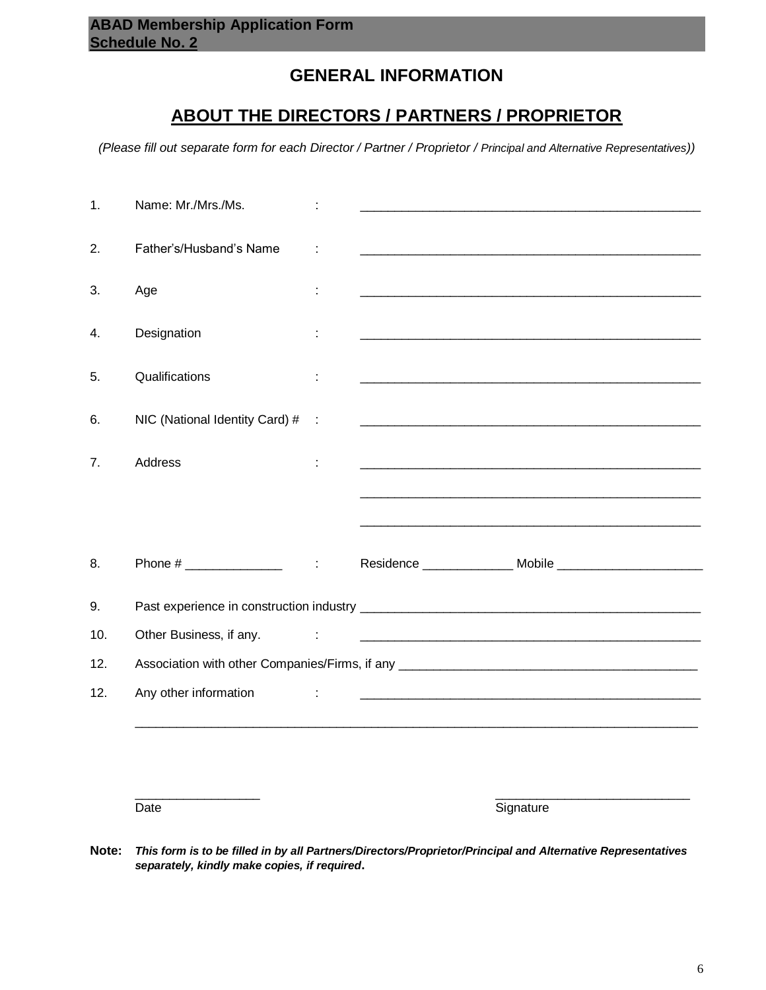## **GENERAL INFORMATION**

## **ABOUT THE DIRECTORS / PARTNERS / PROPRIETOR**

*(Please fill out separate form for each Director / Partner / Proprietor / Principal and Alternative Representatives))*

| 1.  | Name: Mr./Mrs./Ms.             |                       |                                                                                                                       |
|-----|--------------------------------|-----------------------|-----------------------------------------------------------------------------------------------------------------------|
| 2.  | Father's/Husband's Name        |                       | <u> 1980 - Jan Barnett, fransk politik (d. 1980)</u>                                                                  |
| 3.  | Age                            | ÷                     | <u> 1989 - Johann John Stone, markin bashkar (b. 1989)</u>                                                            |
| 4.  | Designation                    |                       |                                                                                                                       |
| 5.  | Qualifications                 | ÷                     |                                                                                                                       |
| 6.  | NIC (National Identity Card) # | $\mathbb{R}^2$        |                                                                                                                       |
| 7.  | Address                        | ÷                     |                                                                                                                       |
|     |                                |                       |                                                                                                                       |
|     |                                |                       |                                                                                                                       |
| 8.  |                                | $\mathcal{A}$         |                                                                                                                       |
| 9.  |                                |                       |                                                                                                                       |
| 10. | Other Business, if any.        | ÷                     |                                                                                                                       |
| 12. |                                |                       | Association with other Companies/Firms, if any __________________________________                                     |
| 12. | Any other information          | $\mathbb{Z}^{\times}$ | <u> 1989 - Johann Harry Harry Harry Harry Harry Harry Harry Harry Harry Harry Harry Harry Harry Harry Harry Harry</u> |
|     |                                |                       |                                                                                                                       |
|     |                                |                       |                                                                                                                       |
|     | Date                           |                       | Signature                                                                                                             |

**Note:** *This form is to be filled in by all Partners/Directors/Proprietor/Principal and Alternative Representatives separately, kindly make copies, if required***.**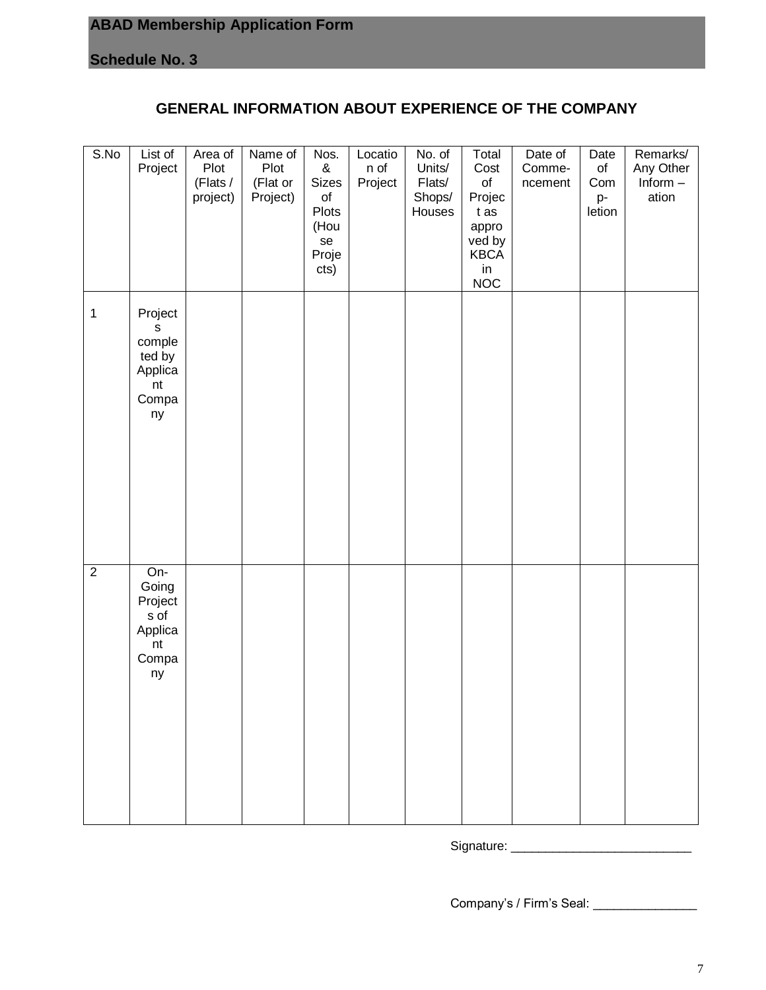## **ABAD Membership Application Form**

**Schedule No. 3**

## **GENERAL INFORMATION ABOUT EXPERIENCE OF THE COMPANY**

| S.No           | List of<br>Project                                               | Area of<br>Plot<br>(Flats /<br>project) | Name of<br>Plot<br>(Flat or<br>Project) | Nos.<br>$\&$<br><b>Sizes</b><br>$\mathsf{of}$<br>Plots<br>(Hou<br>se<br>Proje<br>cts) | Locatio<br>n of<br>Project | $\overline{No}$ . of<br>Units/<br>Flats/<br>Shops/<br>Houses | Total<br>Cost<br>o <sub>f</sub><br>Projec<br>t as<br>appro<br>ved by<br><b>KBCA</b><br>in<br><b>NOC</b> | Date of<br>Comme-<br>ncement | Date<br>$\circ$ f<br>Com<br>p-<br>letion | Remarks/<br>Any Other<br>$Inform -$<br>ation |
|----------------|------------------------------------------------------------------|-----------------------------------------|-----------------------------------------|---------------------------------------------------------------------------------------|----------------------------|--------------------------------------------------------------|---------------------------------------------------------------------------------------------------------|------------------------------|------------------------------------------|----------------------------------------------|
| $\mathbf{1}$   | Project<br>S<br>comple<br>ted by<br>Applica<br>nt<br>Compa<br>ny |                                         |                                         |                                                                                       |                            |                                                              |                                                                                                         |                              |                                          |                                              |
| $\overline{2}$ | On-<br>Going<br>Project<br>s of<br>Applica<br>nt<br>Compa<br>ny  |                                         |                                         |                                                                                       |                            |                                                              |                                                                                                         |                              |                                          |                                              |

Signature: \_\_\_\_\_\_\_\_\_\_\_\_\_\_\_\_\_\_\_\_\_\_\_\_\_\_

Company's / Firm's Seal: \_\_\_\_\_\_\_\_\_\_\_\_\_\_\_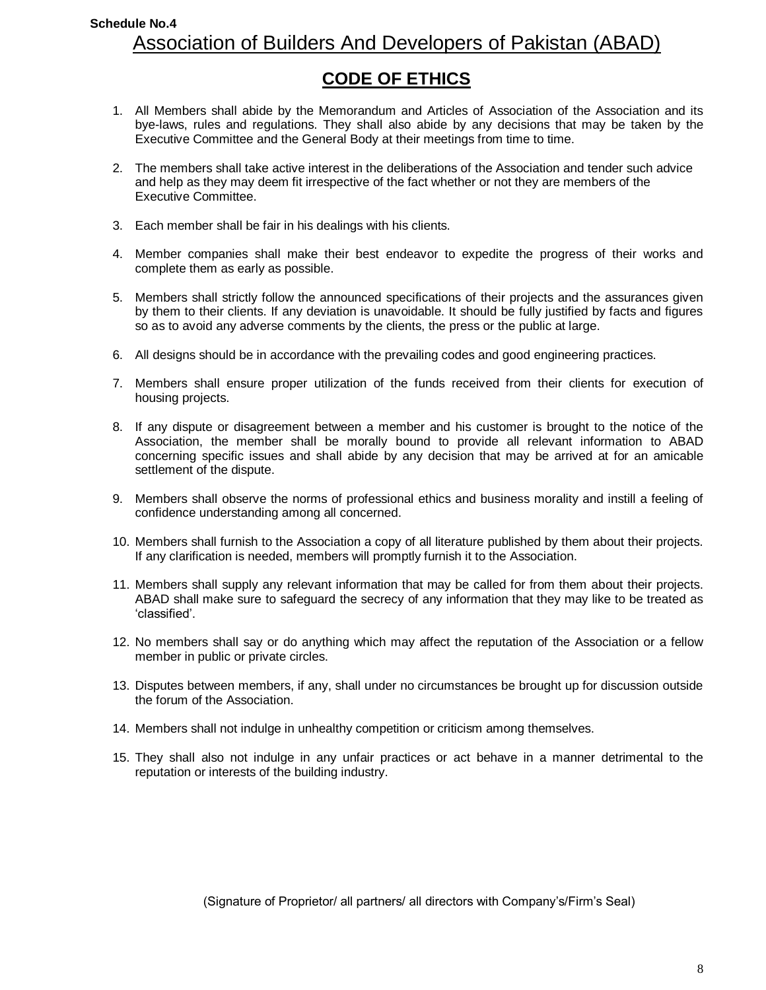## **Schedule No.4** Association of Builders And Developers of Pakistan (ABAD)

## **CODE OF ETHICS**

- 1. All Members shall abide by the Memorandum and Articles of Association of the Association and its bye-laws, rules and regulations. They shall also abide by any decisions that may be taken by the Executive Committee and the General Body at their meetings from time to time.
- 2. The members shall take active interest in the deliberations of the Association and tender such advice and help as they may deem fit irrespective of the fact whether or not they are members of the Executive Committee.
- 3. Each member shall be fair in his dealings with his clients.
- 4. Member companies shall make their best endeavor to expedite the progress of their works and complete them as early as possible.
- 5. Members shall strictly follow the announced specifications of their projects and the assurances given by them to their clients. If any deviation is unavoidable. It should be fully justified by facts and figures so as to avoid any adverse comments by the clients, the press or the public at large.
- 6. All designs should be in accordance with the prevailing codes and good engineering practices.
- 7. Members shall ensure proper utilization of the funds received from their clients for execution of housing projects.
- 8. If any dispute or disagreement between a member and his customer is brought to the notice of the Association, the member shall be morally bound to provide all relevant information to ABAD concerning specific issues and shall abide by any decision that may be arrived at for an amicable settlement of the dispute.
- 9. Members shall observe the norms of professional ethics and business morality and instill a feeling of confidence understanding among all concerned.
- 10. Members shall furnish to the Association a copy of all literature published by them about their projects. If any clarification is needed, members will promptly furnish it to the Association.
- 11. Members shall supply any relevant information that may be called for from them about their projects. ABAD shall make sure to safeguard the secrecy of any information that they may like to be treated as 'classified'.
- 12. No members shall say or do anything which may affect the reputation of the Association or a fellow member in public or private circles.
- 13. Disputes between members, if any, shall under no circumstances be brought up for discussion outside the forum of the Association.
- 14. Members shall not indulge in unhealthy competition or criticism among themselves.
- 15. They shall also not indulge in any unfair practices or act behave in a manner detrimental to the reputation or interests of the building industry.

(Signature of Proprietor/ all partners/ all directors with Company's/Firm's Seal)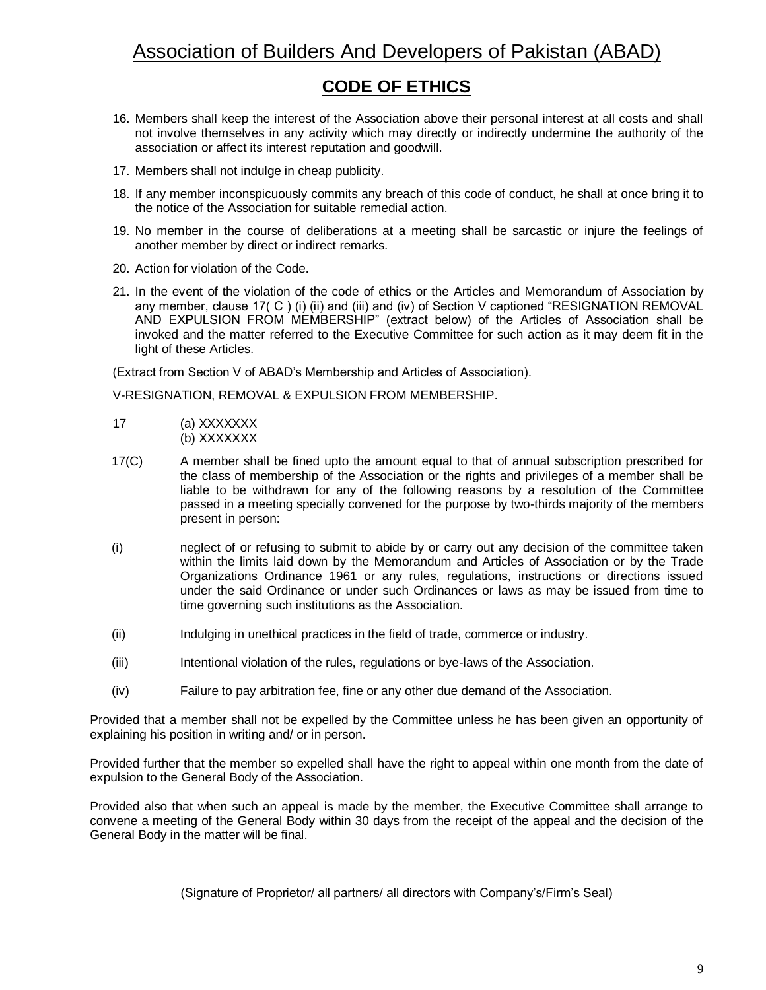## Association of Builders And Developers of Pakistan (ABAD)

## **CODE OF ETHICS**

- 16. Members shall keep the interest of the Association above their personal interest at all costs and shall not involve themselves in any activity which may directly or indirectly undermine the authority of the association or affect its interest reputation and goodwill.
- 17. Members shall not indulge in cheap publicity.
- 18. If any member inconspicuously commits any breach of this code of conduct, he shall at once bring it to the notice of the Association for suitable remedial action.
- 19. No member in the course of deliberations at a meeting shall be sarcastic or injure the feelings of another member by direct or indirect remarks.
- 20. Action for violation of the Code.
- 21. In the event of the violation of the code of ethics or the Articles and Memorandum of Association by any member, clause 17( C ) (i) (ii) and (iii) and (iv) of Section V captioned "RESIGNATION REMOVAL AND EXPULSION FROM MEMBERSHIP" (extract below) of the Articles of Association shall be invoked and the matter referred to the Executive Committee for such action as it may deem fit in the light of these Articles.

(Extract from Section V of ABAD's Membership and Articles of Association).

V-RESIGNATION, REMOVAL & EXPULSION FROM MEMBERSHIP.

- 17 (a) XXXXXXX (b) XXXXXXX
- 17(C) A member shall be fined upto the amount equal to that of annual subscription prescribed for the class of membership of the Association or the rights and privileges of a member shall be liable to be withdrawn for any of the following reasons by a resolution of the Committee passed in a meeting specially convened for the purpose by two-thirds majority of the members present in person:
- (i) neglect of or refusing to submit to abide by or carry out any decision of the committee taken within the limits laid down by the Memorandum and Articles of Association or by the Trade Organizations Ordinance 1961 or any rules, regulations, instructions or directions issued under the said Ordinance or under such Ordinances or laws as may be issued from time to time governing such institutions as the Association.
- (ii) Indulging in unethical practices in the field of trade, commerce or industry.
- (iii) Intentional violation of the rules, regulations or bye-laws of the Association.
- (iv) Failure to pay arbitration fee, fine or any other due demand of the Association.

Provided that a member shall not be expelled by the Committee unless he has been given an opportunity of explaining his position in writing and/ or in person.

Provided further that the member so expelled shall have the right to appeal within one month from the date of expulsion to the General Body of the Association.

Provided also that when such an appeal is made by the member, the Executive Committee shall arrange to convene a meeting of the General Body within 30 days from the receipt of the appeal and the decision of the General Body in the matter will be final.

(Signature of Proprietor/ all partners/ all directors with Company's/Firm's Seal)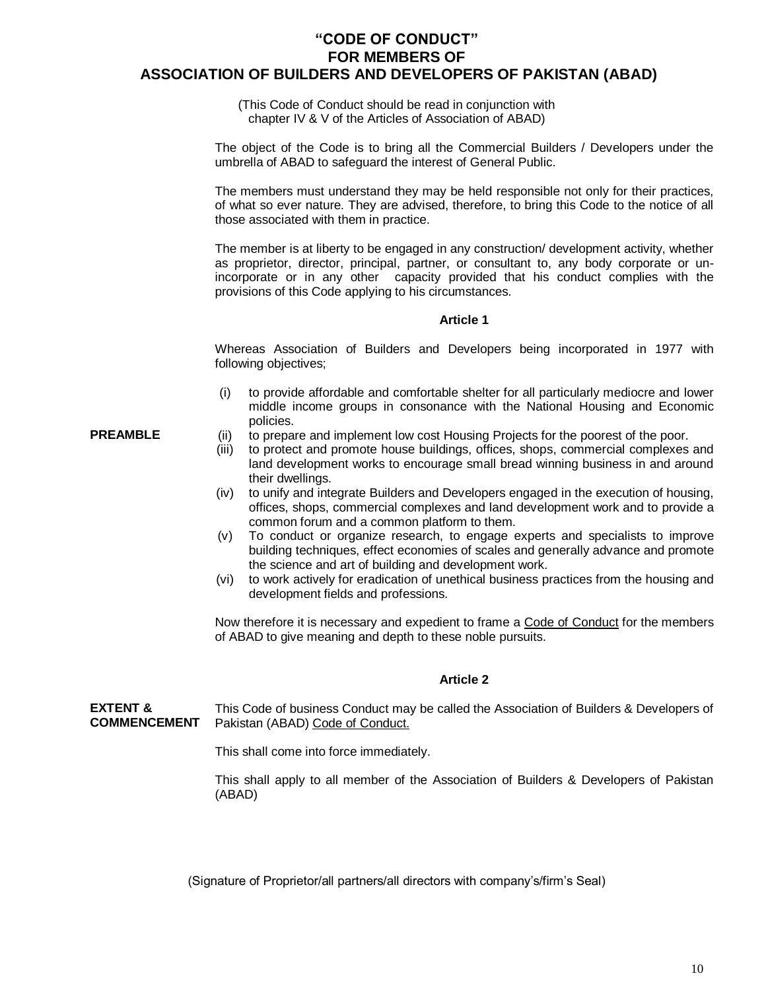#### **"CODE OF CONDUCT" FOR MEMBERS OF ASSOCIATION OF BUILDERS AND DEVELOPERS OF PAKISTAN (ABAD)**

(This Code of Conduct should be read in conjunction with chapter IV & V of the Articles of Association of ABAD)

The object of the Code is to bring all the Commercial Builders / Developers under the umbrella of ABAD to safeguard the interest of General Public.

The members must understand they may be held responsible not only for their practices, of what so ever nature. They are advised, therefore, to bring this Code to the notice of all those associated with them in practice.

The member is at liberty to be engaged in any construction/ development activity, whether as proprietor, director, principal, partner, or consultant to, any body corporate or unincorporate or in any other capacity provided that his conduct complies with the provisions of this Code applying to his circumstances.

#### **Article 1**

Whereas Association of Builders and Developers being incorporated in 1977 with following objectives;

- (i) to provide affordable and comfortable shelter for all particularly mediocre and lower middle income groups in consonance with the National Housing and Economic policies.
- **PREAMBLE** (ii) to prepare and implement low cost Housing Projects for the poorest of the poor.
	- (iii) to protect and promote house buildings, offices, shops, commercial complexes and land development works to encourage small bread winning business in and around their dwellings.
	- (iv) to unify and integrate Builders and Developers engaged in the execution of housing, offices, shops, commercial complexes and land development work and to provide a common forum and a common platform to them.
	- (v) To conduct or organize research, to engage experts and specialists to improve building techniques, effect economies of scales and generally advance and promote the science and art of building and development work.
	- (vi) to work actively for eradication of unethical business practices from the housing and development fields and professions.

Now therefore it is necessary and expedient to frame a Code of Conduct for the members of ABAD to give meaning and depth to these noble pursuits.

#### **Article 2**

**EXTENT & COMMENCEMENT** This Code of business Conduct may be called the Association of Builders & Developers of Pakistan (ABAD) Code of Conduct.

This shall come into force immediately.

This shall apply to all member of the Association of Builders & Developers of Pakistan (ABAD)

(Signature of Proprietor/all partners/all directors with company's/firm's Seal)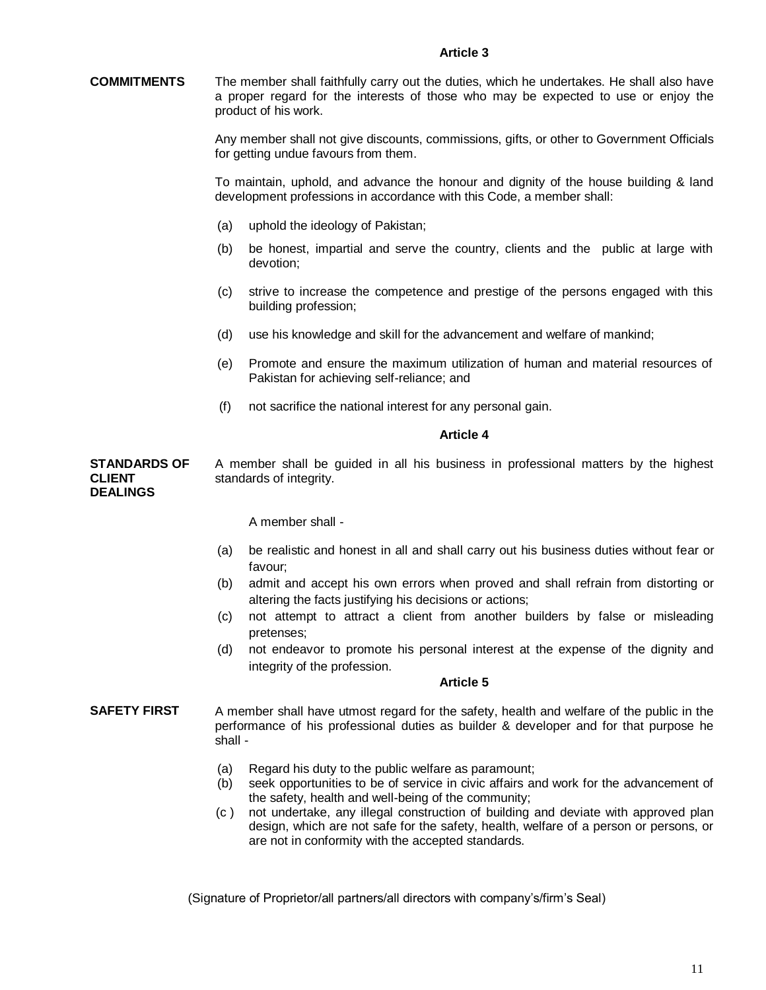**COMMITMENTS** The member shall faithfully carry out the duties, which he undertakes. He shall also have a proper regard for the interests of those who may be expected to use or enjoy the product of his work.

> Any member shall not give discounts, commissions, gifts, or other to Government Officials for getting undue favours from them.

> To maintain, uphold, and advance the honour and dignity of the house building & land development professions in accordance with this Code, a member shall:

- (a) uphold the ideology of Pakistan;
- (b) be honest, impartial and serve the country, clients and the public at large with devotion;
- (c) strive to increase the competence and prestige of the persons engaged with this building profession;
- (d) use his knowledge and skill for the advancement and welfare of mankind;
- (e) Promote and ensure the maximum utilization of human and material resources of Pakistan for achieving self-reliance; and
- (f) not sacrifice the national interest for any personal gain.

#### **Article 4**

**STANDARDS OF CLIENT DEALINGS** A member shall be guided in all his business in professional matters by the highest standards of integrity.

A member shall -

- (a) be realistic and honest in all and shall carry out his business duties without fear or favour;
- (b) admit and accept his own errors when proved and shall refrain from distorting or altering the facts justifying his decisions or actions;
- (c) not attempt to attract a client from another builders by false or misleading pretenses;
- (d) not endeavor to promote his personal interest at the expense of the dignity and integrity of the profession.

#### **Article 5**

- **SAFETY FIRST** A member shall have utmost regard for the safety, health and welfare of the public in the performance of his professional duties as builder & developer and for that purpose he shall -
	- (a) Regard his duty to the public welfare as paramount;
	- (b) seek opportunities to be of service in civic affairs and work for the advancement of the safety, health and well-being of the community;
	- (c ) not undertake, any illegal construction of building and deviate with approved plan design, which are not safe for the safety, health, welfare of a person or persons, or are not in conformity with the accepted standards.

(Signature of Proprietor/all partners/all directors with company's/firm's Seal)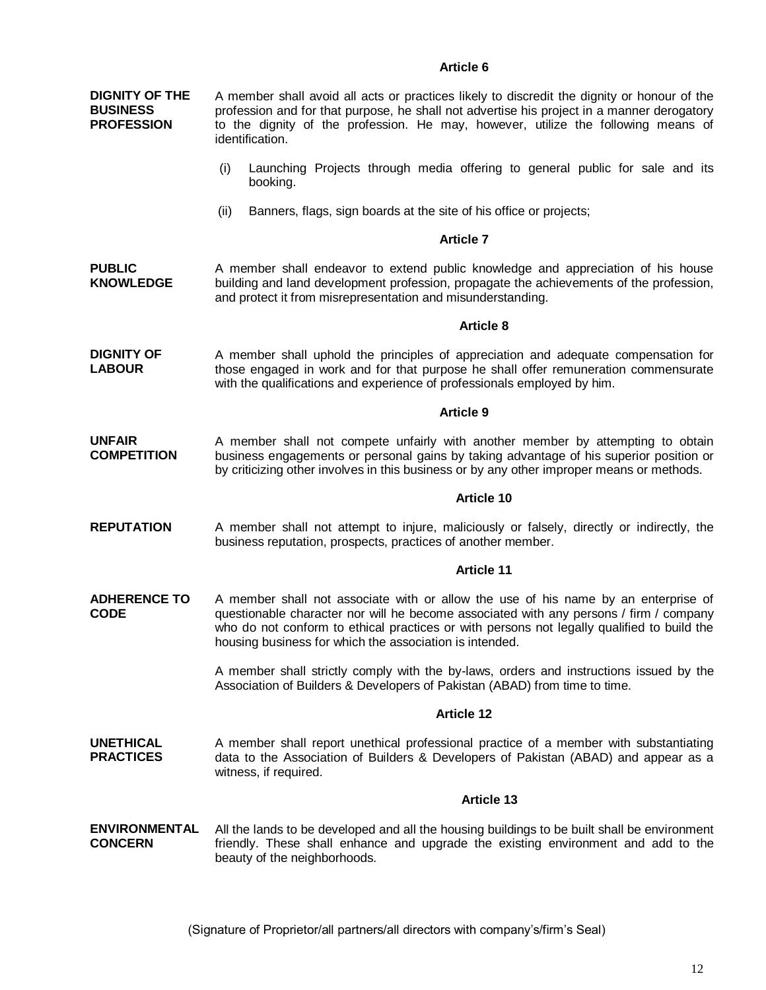#### **Article 6**

**DIGNITY OF THE BUSINESS PROFESSION** A member shall avoid all acts or practices likely to discredit the dignity or honour of the profession and for that purpose, he shall not advertise his project in a manner derogatory to the dignity of the profession. He may, however, utilize the following means of identification.

- (i) Launching Projects through media offering to general public for sale and its booking.
- (ii) Banners, flags, sign boards at the site of his office or projects;

#### **Article 7**

**PUBLIC KNOWLEDGE** A member shall endeavor to extend public knowledge and appreciation of his house building and land development profession, propagate the achievements of the profession, and protect it from misrepresentation and misunderstanding.

#### **Article 8**

**DIGNITY OF LABOUR** A member shall uphold the principles of appreciation and adequate compensation for those engaged in work and for that purpose he shall offer remuneration commensurate with the qualifications and experience of professionals employed by him.

#### **Article 9**

**UNFAIR COMPETITION** A member shall not compete unfairly with another member by attempting to obtain business engagements or personal gains by taking advantage of his superior position or by criticizing other involves in this business or by any other improper means or methods.

#### **Article 10**

**REPUTATION** A member shall not attempt to injure, maliciously or falsely, directly or indirectly, the business reputation, prospects, practices of another member.

#### **Article 11**

**ADHERENCE TO CODE** A member shall not associate with or allow the use of his name by an enterprise of questionable character nor will he become associated with any persons / firm / company who do not conform to ethical practices or with persons not legally qualified to build the housing business for which the association is intended.

> A member shall strictly comply with the by-laws, orders and instructions issued by the Association of Builders & Developers of Pakistan (ABAD) from time to time.

#### **Article 12**

**UNETHICAL PRACTICES** A member shall report unethical professional practice of a member with substantiating data to the Association of Builders & Developers of Pakistan (ABAD) and appear as a witness, if required.

#### **Article 13**

**ENVIRONMENTAL CONCERN** All the lands to be developed and all the housing buildings to be built shall be environment friendly. These shall enhance and upgrade the existing environment and add to the beauty of the neighborhoods.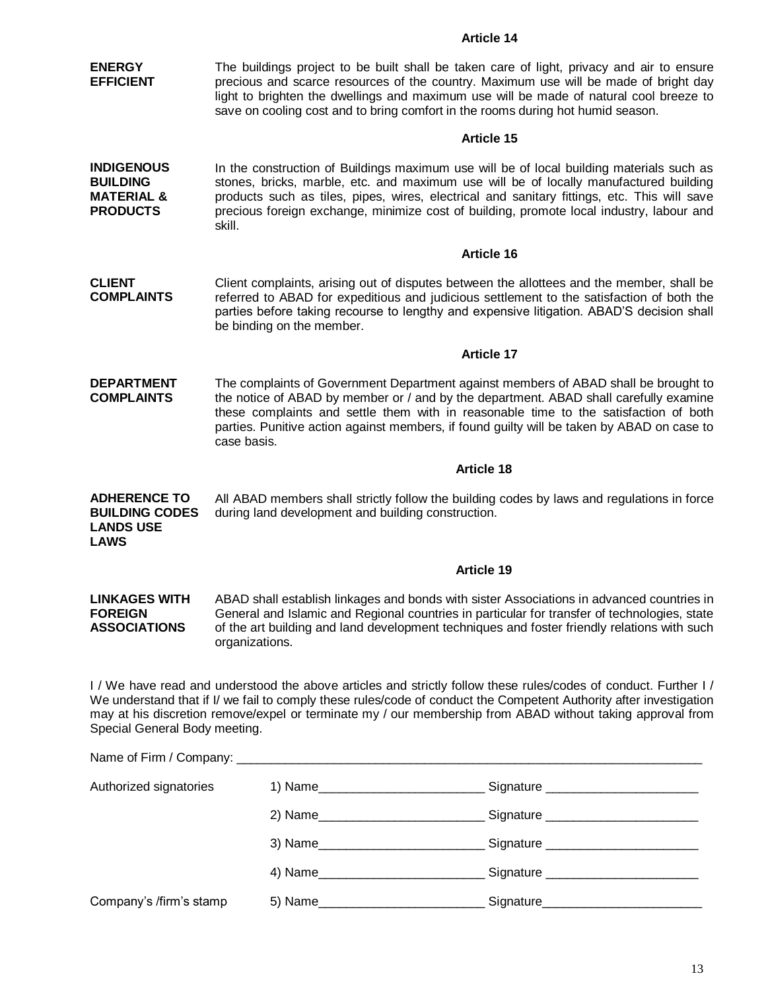| <b>ENERGY</b><br><b>EFFICIENT</b>                                                | The buildings project to be built shall be taken care of light, privacy and air to ensure<br>precious and scarce resources of the country. Maximum use will be made of bright day<br>light to brighten the dwellings and maximum use will be made of natural cool breeze to<br>save on cooling cost and to bring comfort in the rooms during hot humid season.                    |                                                                                                                                                                                                                                                                                                                                                                              |  |  |  |  |
|----------------------------------------------------------------------------------|-----------------------------------------------------------------------------------------------------------------------------------------------------------------------------------------------------------------------------------------------------------------------------------------------------------------------------------------------------------------------------------|------------------------------------------------------------------------------------------------------------------------------------------------------------------------------------------------------------------------------------------------------------------------------------------------------------------------------------------------------------------------------|--|--|--|--|
|                                                                                  |                                                                                                                                                                                                                                                                                                                                                                                   | <b>Article 15</b>                                                                                                                                                                                                                                                                                                                                                            |  |  |  |  |
| <b>INDIGENOUS</b><br><b>BUILDING</b><br><b>MATERIAL &amp;</b><br><b>PRODUCTS</b> | skill.                                                                                                                                                                                                                                                                                                                                                                            | In the construction of Buildings maximum use will be of local building materials such as<br>stones, bricks, marble, etc. and maximum use will be of locally manufactured building<br>products such as tiles, pipes, wires, electrical and sanitary fittings, etc. This will save<br>precious foreign exchange, minimize cost of building, promote local industry, labour and |  |  |  |  |
|                                                                                  |                                                                                                                                                                                                                                                                                                                                                                                   | Article 16                                                                                                                                                                                                                                                                                                                                                                   |  |  |  |  |
| <b>CLIENT</b><br><b>COMPLAINTS</b>                                               | be binding on the member.                                                                                                                                                                                                                                                                                                                                                         | Client complaints, arising out of disputes between the allottees and the member, shall be<br>referred to ABAD for expeditious and judicious settlement to the satisfaction of both the<br>parties before taking recourse to lengthy and expensive litigation. ABAD'S decision shall                                                                                          |  |  |  |  |
|                                                                                  |                                                                                                                                                                                                                                                                                                                                                                                   | <b>Article 17</b>                                                                                                                                                                                                                                                                                                                                                            |  |  |  |  |
| <b>DEPARTMENT</b><br><b>COMPLAINTS</b>                                           | The complaints of Government Department against members of ABAD shall be brought to<br>the notice of ABAD by member or / and by the department. ABAD shall carefully examine<br>these complaints and settle them with in reasonable time to the satisfaction of both<br>parties. Punitive action against members, if found guilty will be taken by ABAD on case to<br>case basis. |                                                                                                                                                                                                                                                                                                                                                                              |  |  |  |  |
|                                                                                  |                                                                                                                                                                                                                                                                                                                                                                                   | <b>Article 18</b>                                                                                                                                                                                                                                                                                                                                                            |  |  |  |  |
| <b>ADHERENCE TO</b><br><b>BUILDING CODES</b><br><b>LANDS USE</b><br><b>LAWS</b>  | All ABAD members shall strictly follow the building codes by laws and regulations in force<br>during land development and building construction.                                                                                                                                                                                                                                  |                                                                                                                                                                                                                                                                                                                                                                              |  |  |  |  |
|                                                                                  |                                                                                                                                                                                                                                                                                                                                                                                   | <b>Article 19</b>                                                                                                                                                                                                                                                                                                                                                            |  |  |  |  |
| <b>LINKAGES WITH</b><br><b>FOREIGN</b><br><b>ASSOCIATIONS</b>                    | ABAD shall establish linkages and bonds with sister Associations in advanced countries in<br>General and Islamic and Regional countries in particular for transfer of technologies, state<br>of the art building and land development techniques and foster friendly relations with such<br>organizations.                                                                        |                                                                                                                                                                                                                                                                                                                                                                              |  |  |  |  |
| Special General Body meeting.                                                    |                                                                                                                                                                                                                                                                                                                                                                                   | I / We have read and understood the above articles and strictly follow these rules/codes of conduct. Further I/<br>We understand that if I/ we fail to comply these rules/code of conduct the Competent Authority after investigation<br>may at his discretion remove/expel or terminate my / our membership from ABAD without taking approval from                          |  |  |  |  |
|                                                                                  |                                                                                                                                                                                                                                                                                                                                                                                   |                                                                                                                                                                                                                                                                                                                                                                              |  |  |  |  |
| Authorized signatories                                                           |                                                                                                                                                                                                                                                                                                                                                                                   |                                                                                                                                                                                                                                                                                                                                                                              |  |  |  |  |
|                                                                                  |                                                                                                                                                                                                                                                                                                                                                                                   |                                                                                                                                                                                                                                                                                                                                                                              |  |  |  |  |
|                                                                                  |                                                                                                                                                                                                                                                                                                                                                                                   |                                                                                                                                                                                                                                                                                                                                                                              |  |  |  |  |
|                                                                                  |                                                                                                                                                                                                                                                                                                                                                                                   |                                                                                                                                                                                                                                                                                                                                                                              |  |  |  |  |
| Company's /firm's stamp                                                          |                                                                                                                                                                                                                                                                                                                                                                                   |                                                                                                                                                                                                                                                                                                                                                                              |  |  |  |  |

**Article 14**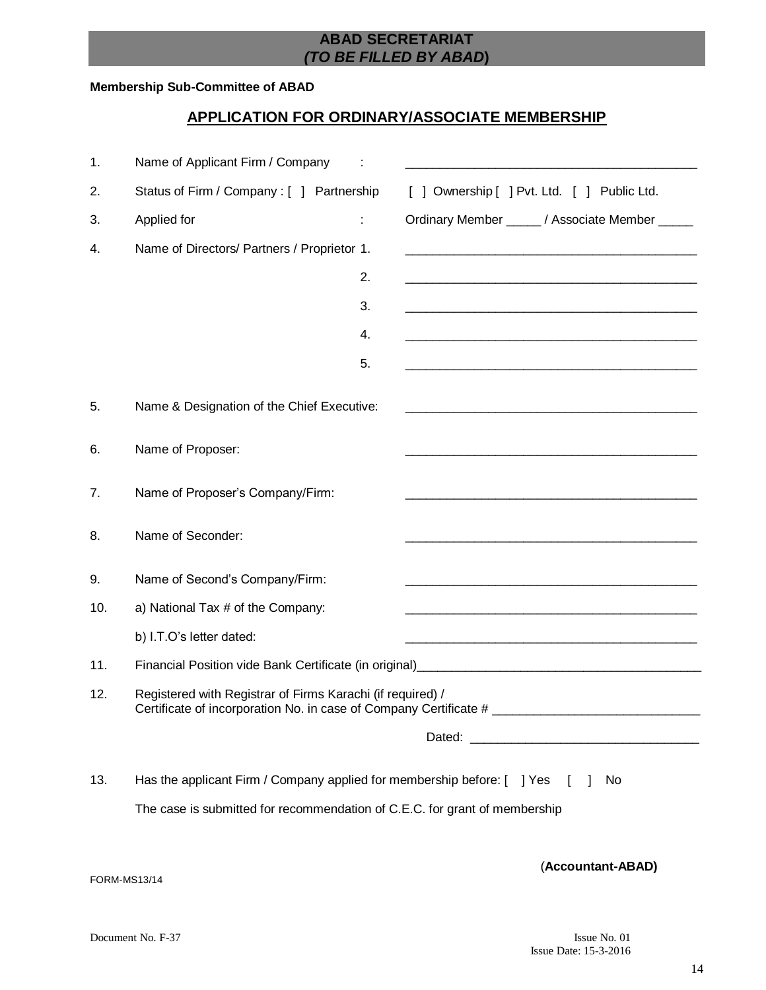### **ABAD SECRETARIAT** *(TO BE FILLED BY ABAD***)**

#### **Membership Sub-Committee of ABAD**

### **APPLICATION FOR ORDINARY/ASSOCIATE MEMBERSHIP**

| 1.           | Name of Applicant Firm / Company                                                                                                |    |                                                                                                                      |
|--------------|---------------------------------------------------------------------------------------------------------------------------------|----|----------------------------------------------------------------------------------------------------------------------|
| 2.           | Status of Firm / Company : [ ] Partnership                                                                                      |    | [ ] Ownership [ ] Pvt. Ltd. [ ] Public Ltd.                                                                          |
| 3.           | Applied for                                                                                                                     |    | Ordinary Member ______ / Associate Member _____                                                                      |
| 4.           | Name of Directors/ Partners / Proprietor 1.                                                                                     |    |                                                                                                                      |
|              |                                                                                                                                 | 2. | <u> 1980 - Johann John Stone, mars and de British and de British and de British and de British and de British an</u> |
|              |                                                                                                                                 | 3. |                                                                                                                      |
|              |                                                                                                                                 | 4. | <u> 1980 - Johann Barn, mars ann an t-Amhain ann an t-Amhain an t-Amhain ann an t-Amhain an t-Amhain an t-Amhain</u> |
|              |                                                                                                                                 | 5. | <u> 1980 - Johann John Stone, market fan it ferskearre fan it ferskearre fan it ferskearre fan it ferskearre fan</u> |
| 5.           | Name & Designation of the Chief Executive:                                                                                      |    |                                                                                                                      |
| 6.           | Name of Proposer:                                                                                                               |    |                                                                                                                      |
| 7.           | Name of Proposer's Company/Firm:                                                                                                |    |                                                                                                                      |
| 8.           | Name of Seconder:                                                                                                               |    | <u> 1989 - Johann Barbara, margaret eta idazlea (h. 1989).</u>                                                       |
| 9.           | Name of Second's Company/Firm:                                                                                                  |    |                                                                                                                      |
| 10.          | a) National Tax # of the Company:                                                                                               |    |                                                                                                                      |
|              | b) I.T.O's letter dated:                                                                                                        |    | <u> 1980 - Johann Barn, mars an t-Amerikaansk politiker (* 1908)</u>                                                 |
| 11.          |                                                                                                                                 |    |                                                                                                                      |
| 12.          | Registered with Registrar of Firms Karachi (if required) /<br>Certificate of incorporation No. in case of Company Certificate # |    |                                                                                                                      |
|              |                                                                                                                                 |    |                                                                                                                      |
| 13.          | Has the applicant Firm / Company applied for membership before: [ ] Yes [                                                       |    | No                                                                                                                   |
|              | The case is submitted for recommendation of C.E.C. for grant of membership                                                      |    |                                                                                                                      |
| FORM-MS13/14 |                                                                                                                                 |    | (Accountant-ABAD)                                                                                                    |
|              |                                                                                                                                 |    |                                                                                                                      |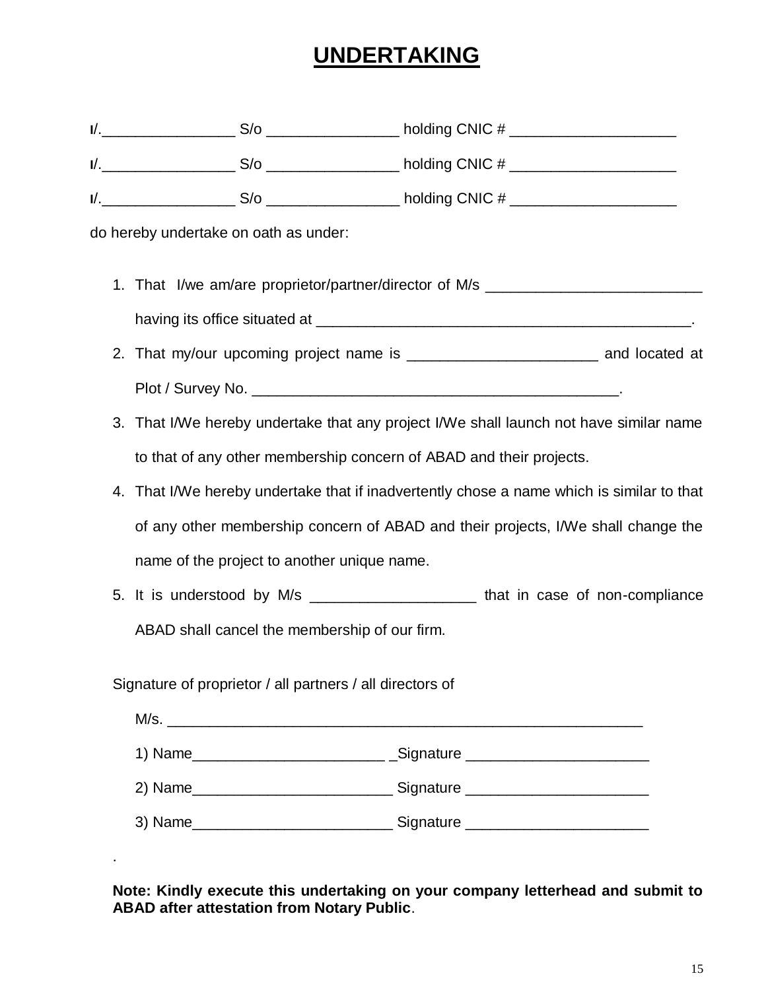# **UNDERTAKING**

| $\mathsf{l}/\mathsf{l}$ | $\bigcap_{\mu}$ $\bigcap_{\mu}$<br>$\cdots$<br>. . |  |
|-------------------------|----------------------------------------------------|--|
|                         |                                                    |  |

**I**/.\_\_\_\_\_\_\_\_\_\_\_\_\_\_\_\_ S/o \_\_\_\_\_\_\_\_\_\_\_\_\_\_\_\_ holding CNIC # \_\_\_\_\_\_\_\_\_\_\_\_\_\_\_\_\_\_\_\_

**I**/.\_\_\_\_\_\_\_\_\_\_\_\_\_\_\_\_ S/o \_\_\_\_\_\_\_\_\_\_\_\_\_\_\_\_ holding CNIC # \_\_\_\_\_\_\_\_\_\_\_\_\_\_\_\_\_\_\_\_

do hereby undertake on oath as under:

- 1. That I/we am/are proprietor/partner/director of M/s \_\_\_\_\_\_\_\_\_\_\_\_\_\_\_\_\_\_\_\_\_\_\_\_\_ having its office situated at \_\_\_\_\_\_\_\_\_\_\_\_\_\_\_\_\_\_\_\_\_\_\_\_\_\_\_\_\_\_\_\_\_\_\_\_\_\_\_\_\_\_\_\_\_.
- 2. That my/our upcoming project name is \_\_\_\_\_\_\_\_\_\_\_\_\_\_\_\_\_\_\_\_\_\_\_\_\_\_\_\_\_\_\_\_\_ and located at Plot / Survey No. \_\_\_\_\_\_\_\_\_\_\_\_\_\_\_\_\_\_\_\_\_\_\_\_\_\_\_\_\_\_\_\_\_\_\_\_\_\_\_\_\_\_\_\_.
- 3. That I/We hereby undertake that any project I/We shall launch not have similar name to that of any other membership concern of ABAD and their projects.
- 4. That I/We hereby undertake that if inadvertently chose a name which is similar to that of any other membership concern of ABAD and their projects, I/We shall change the name of the project to another unique name.
- 5. It is understood by M/s \_\_\_\_\_\_\_\_\_\_\_\_\_\_\_\_\_\_\_\_ that in case of non-compliance ABAD shall cancel the membership of our firm.

Signature of proprietor / all partners / all directors of

.

| 1) Name_________________________    | _Signature ________________         |
|-------------------------------------|-------------------------------------|
|                                     | _ Signature _______________________ |
| 3) Name____________________________ | Signature _________________         |

**Note: Kindly execute this undertaking on your company letterhead and submit to ABAD after attestation from Notary Public**.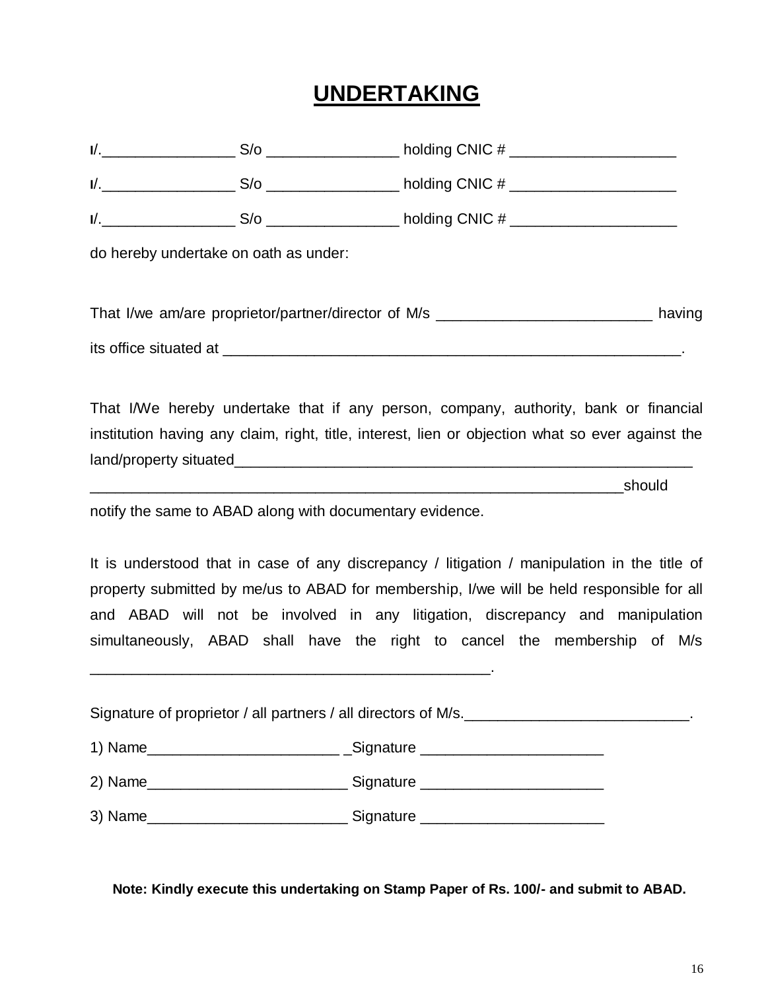## **UNDERTAKING**

| do hereby undertake on oath as under: |                                                                                                  |  |
|---------------------------------------|--------------------------------------------------------------------------------------------------|--|
|                                       |                                                                                                  |  |
|                                       | That I/we am/are proprietor/partner/director of M/s ____________________________ having          |  |
|                                       |                                                                                                  |  |
|                                       | That I/We hereby undertake that if any person, company, authority, bank or financial             |  |
|                                       | institution having any claim, right, title, interest, lien or objection what so ever against the |  |

land/property situated\_\_\_\_\_\_\_\_\_\_\_\_\_\_\_\_\_\_\_\_\_\_\_\_\_\_\_\_\_\_\_\_\_\_\_\_\_\_\_\_\_\_\_\_\_\_\_\_\_\_\_\_\_\_\_

 $\blacksquare$  . The contract of the contract of the should should

notify the same to ABAD along with documentary evidence.

\_\_\_\_\_\_\_\_\_\_\_\_\_\_\_\_\_\_\_\_\_\_\_\_\_\_\_\_\_\_\_\_\_\_\_\_\_\_\_\_\_\_\_\_\_\_\_\_.

It is understood that in case of any discrepancy / litigation / manipulation in the title of property submitted by me/us to ABAD for membership, I/we will be held responsible for all and ABAD will not be involved in any litigation, discrepancy and manipulation simultaneously, ABAD shall have the right to cancel the membership of M/s

Signature of proprietor / all partners / all directors of M/s.

| 1) Name | Signature |
|---------|-----------|
|---------|-----------|

2) Name\_\_\_\_\_\_\_\_\_\_\_\_\_\_\_\_\_\_\_\_\_\_\_\_ Signature \_\_\_\_\_\_\_\_\_\_\_\_\_\_\_\_\_\_\_\_\_\_

3) Name\_\_\_\_\_\_\_\_\_\_\_\_\_\_\_\_\_\_\_\_\_\_\_\_ Signature \_\_\_\_\_\_\_\_\_\_\_\_\_\_\_\_\_\_\_\_\_\_

**Note: Kindly execute this undertaking on Stamp Paper of Rs. 100/- and submit to ABAD.**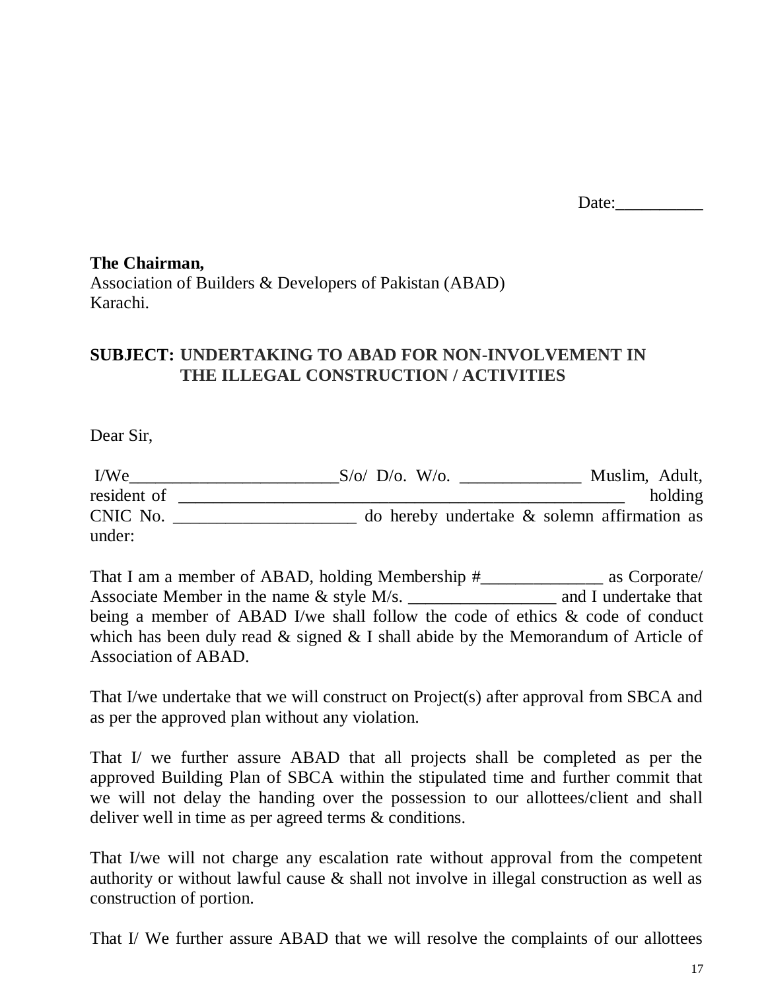Date:

## **The Chairman,** Association of Builders & Developers of Pakistan (ABAD) Karachi.

## **SUBJECT: UNDERTAKING TO ABAD FOR NON-INVOLVEMENT IN THE ILLEGAL CONSTRUCTION / ACTIVITIES**

Dear Sir,

| I/We        | $S/\mathrm{o}$ D/o. W/o.<br>Muslim, Adult,     |
|-------------|------------------------------------------------|
| resident of | holding                                        |
| CNIC No.    | do hereby undertake $\&$ solemn affirmation as |
| under:      |                                                |

That I am a member of ABAD, holding Membership #\_\_\_\_\_\_\_\_\_\_\_\_\_\_ as Corporate/ Associate Member in the name  $\&$  style M/s.  $\qquad \qquad$  and I undertake that being a member of ABAD I/we shall follow the code of ethics & code of conduct which has been duly read  $&$  signed  $&$  I shall abide by the Memorandum of Article of Association of ABAD.

That I/we undertake that we will construct on Project(s) after approval from SBCA and as per the approved plan without any violation.

That I/ we further assure ABAD that all projects shall be completed as per the approved Building Plan of SBCA within the stipulated time and further commit that we will not delay the handing over the possession to our allottees/client and shall deliver well in time as per agreed terms & conditions.

That I/we will not charge any escalation rate without approval from the competent authority or without lawful cause & shall not involve in illegal construction as well as construction of portion.

That I/ We further assure ABAD that we will resolve the complaints of our allottees